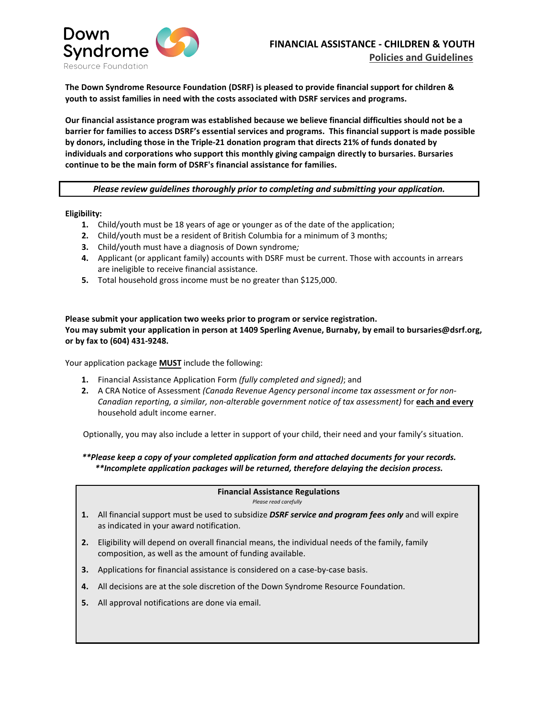

**The Down Syndrome Resource Foundation (DSRF) is pleased to provide financial support for children & youth to assist families in need with the costs associated with DSRF services and programs.** 

**Our financial assistance program was established because we believe financial difficulties should not be a barrier for families to access DSRF's essential services and programs. This financial support is made possible by donors, including those in the Triple-21 donation program that directs 21% of funds donated by individuals and corporations who support this monthly giving campaign directly to bursaries. Bursaries continue to be the main form of DSRF's financial assistance for families.** 

*Please review guidelines thoroughly prior to completing and submitting your application.* 

#### **Eligibility:**

- **1.** Child/youth must be 18 years of age or younger as of the date of the application;
- **2.** Child/youth must be a resident of British Columbia for a minimum of 3 months;
- **3.** Child/youth must have a diagnosis of Down syndrome*;*
- **4.** Applicant (or applicant family) accounts with DSRF must be current. Those with accounts in arrears are ineligible to receive financial assistance.
- **5.** Total household gross income must be no greater than \$125,000.

### **Please submit your application two weeks prior to program or service registration. You may submit your application in person at 1409 Sperling Avenue, Burnaby, by email to bursaries@dsrf.org, or by fax to (604) 431-9248.**

Your application package **MUST** include the following:

- **1.** Financial Assistance Application Form *(fully completed and signed)*; and
- **2.** A CRA Notice of Assessment *(Canada Revenue Agency personal income tax assessment or for non-Canadian reporting, a similar, non-alterable government notice of tax assessment)* for **each and every** household adult income earner.

Optionally, you may also include a letter in support of your child, their need and your family's situation.

*\*\*Please keep a copy of your completed application form and attached documents for your records. \*\*Incomplete application packages will be returned, therefore delaying the decision process.* 

## **Financial Assistance Regulations**

*Please read carefully*

- **1.** All financial support must be used to subsidize *DSRF service and program fees only* and will expire as indicated in your award notification.
- **2.** Eligibility will depend on overall financial means, the individual needs of the family, family composition, as well as the amount of funding available.
- **3.** Applications for financial assistance is considered on a case-by-case basis.
- **4.** All decisions are at the sole discretion of the Down Syndrome Resource Foundation.
- **5.** All approval notifications are done via email.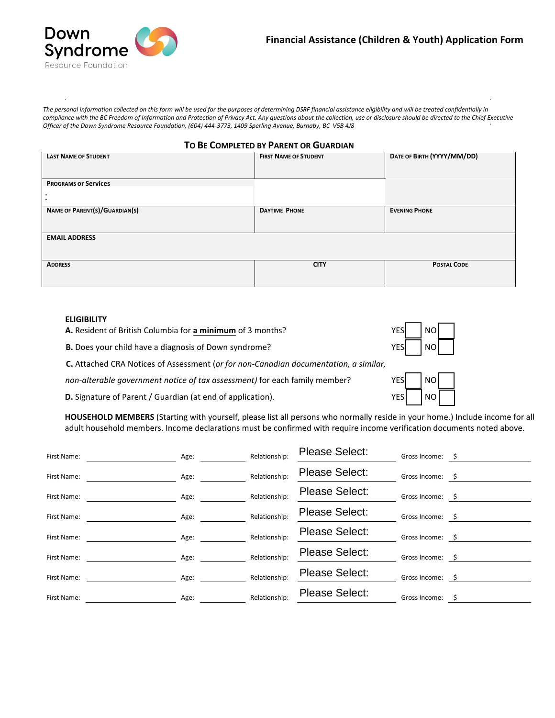

*The personal information collected on this form will be used for the purposes of determining DSRF financial assistance eligibility and will be treated confidentially in compliance with the BC Freedom of Information and Protection of Privacy Act. Any questions about the collection, use or disclosure should be directed to the Chief Executive Officer of the Down Syndrome Resource Foundation, (604) 444-3773, 1409 Sperling Avenue, Burnaby, BC V5B 4J8*

| TO BE COMPLETED BY PARENT OR GUARDIAN |  |  |
|---------------------------------------|--|--|
|---------------------------------------|--|--|

| <b>LAST NAME OF STUDENT</b>   | <b>FIRST NAME OF STUDENT</b> | DATE OF BIRTH (YYYY/MM/DD) |
|-------------------------------|------------------------------|----------------------------|
| <b>PROGRAMS Or Services</b>   |                              |                            |
|                               |                              |                            |
| NAME OF PARENT(S)/GUARDIAN(S) | <b>DAYTIME PHONE</b>         | <b>EVENING PHONE</b>       |
| <b>EMAIL ADDRESS</b>          |                              |                            |
| <b>ADDRESS</b>                | <b>CITY</b>                  | <b>POSTAL CODE</b>         |

#### **ELIGIBILITY**

**A.** Resident of British Columbia for **a minimum** of 3 months?

**B.** Does your child have a diagnosis of Down syndrome?

**C.** Attached CRA Notices of Assessment (*or for non-Canadian documentation, a similar,*

*non-alterable government notice of tax assessment)* for each family member?

**D.** Signature of Parent / Guardian (at end of application).  $YES \cup YES \cup YES$ 

**HOUSEHOLD MEMBERS** (Starting with yourself, please list all persons who normally reside in your home.) Include income for all adult household members. Income declarations must be confirmed with require income verification documents noted above.

| First Name: | Age: | Relationship: | <b>Please Select:</b> | Gross Income: \$ |     |
|-------------|------|---------------|-----------------------|------------------|-----|
| First Name: | Age: | Relationship: | <b>Please Select:</b> | Gross Income:    | - S |
| First Name: | Age: | Relationship: | <b>Please Select:</b> | Gross Income: \$ |     |
| First Name: | Age: | Relationship: | <b>Please Select:</b> | Gross Income:    |     |
| First Name: | Age: | Relationship: | Please Select:        | Gross Income: \$ |     |
| First Name: | Age: | Relationship: | <b>Please Select:</b> | Gross Income:    | - S |
| First Name: | Age: | Relationship: | <b>Please Select:</b> | Gross Income: \$ |     |
| First Name: | Age: | Relationship: | <b>Please Select:</b> | Gross Income:    |     |
|             |      |               |                       |                  |     |



YES NO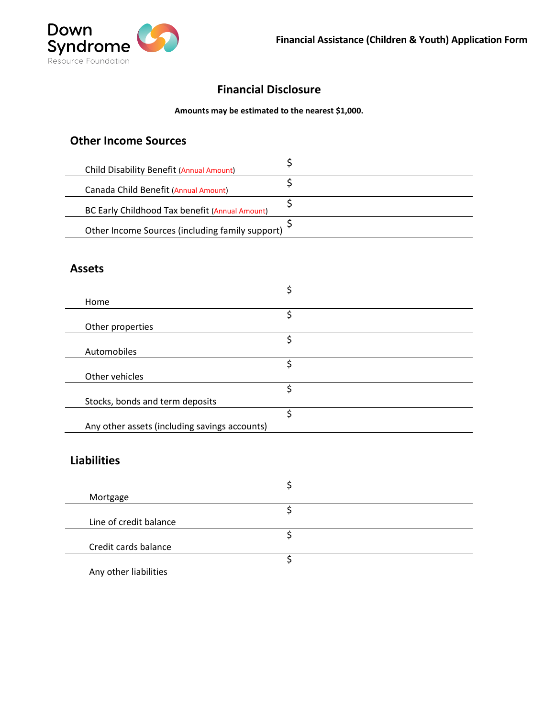

# **Financial Disclosure**

## **Amounts may be estimated to the nearest \$1,000.**

## **Other Income Sources**

| Child Disability Benefit (Annual Amount)        |  |
|-------------------------------------------------|--|
| Canada Child Benefit (Annual Amount)            |  |
| BC Early Childhood Tax benefit (Annual Amount)  |  |
| Other Income Sources (including family support) |  |

## **Assets**

| Home                                          |   |
|-----------------------------------------------|---|
|                                               | ς |
| Other properties                              |   |
|                                               | ς |
| Automobiles                                   |   |
|                                               |   |
| Other vehicles                                |   |
|                                               | c |
| Stocks, bonds and term deposits               |   |
|                                               | S |
| Any other assets (including savings accounts) |   |

# **Liabilities**

| Mortgage               |  |
|------------------------|--|
|                        |  |
| Line of credit balance |  |
|                        |  |
| Credit cards balance   |  |
|                        |  |
| Any other liabilities  |  |